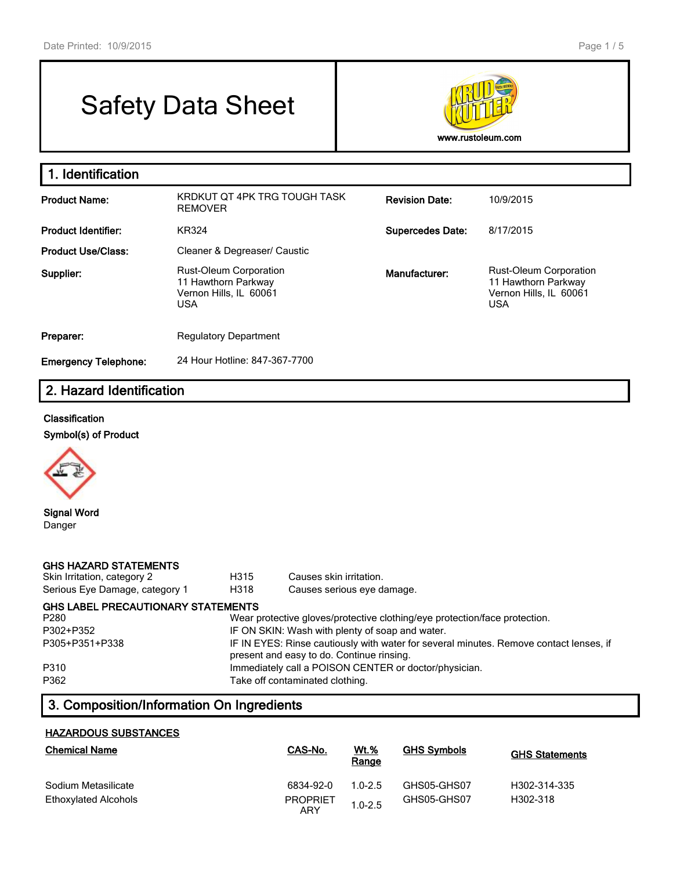# Safety Data Sheet



| 1. Identification           |                                                                                       |                         |                                                                                              |
|-----------------------------|---------------------------------------------------------------------------------------|-------------------------|----------------------------------------------------------------------------------------------|
| <b>Product Name:</b>        | KRDKUT OT 4PK TRG TOUGH TASK<br><b>REMOVER</b>                                        | <b>Revision Date:</b>   | 10/9/2015                                                                                    |
| <b>Product Identifier:</b>  | <b>KR324</b>                                                                          | <b>Supercedes Date:</b> | 8/17/2015                                                                                    |
| <b>Product Use/Class:</b>   | Cleaner & Degreaser/ Caustic                                                          |                         |                                                                                              |
| Supplier:                   | Rust-Oleum Corporation<br>11 Hawthorn Parkway<br>Vernon Hills, IL 60061<br><b>USA</b> | Manufacturer:           | <b>Rust-Oleum Corporation</b><br>11 Hawthorn Parkway<br>Vernon Hills, IL 60061<br><b>USA</b> |
| Preparer:                   | <b>Regulatory Department</b>                                                          |                         |                                                                                              |
| <b>Emergency Telephone:</b> | 24 Hour Hotline: 847-367-7700                                                         |                         |                                                                                              |

# **2. Hazard Identification**

#### **Classification**

**Symbol(s) of Product**



**Signal Word** Danger

| <b>GHS HAZARD STATEMENTS</b><br>Skin Irritation, category 2<br>Serious Eye Damage, category 1 | H315<br>H318                                                                                                                        | Causes skin irritation.<br>Causes serious eye damage. |  |  |
|-----------------------------------------------------------------------------------------------|-------------------------------------------------------------------------------------------------------------------------------------|-------------------------------------------------------|--|--|
| <b>GHS LABEL PRECAUTIONARY STATEMENTS</b>                                                     |                                                                                                                                     |                                                       |  |  |
| P280                                                                                          | Wear protective gloves/protective clothing/eye protection/face protection.                                                          |                                                       |  |  |
| P302+P352                                                                                     | IF ON SKIN: Wash with plenty of soap and water.                                                                                     |                                                       |  |  |
| P305+P351+P338                                                                                | IF IN EYES: Rinse cautiously with water for several minutes. Remove contact lenses, if<br>present and easy to do. Continue rinsing. |                                                       |  |  |
| P310                                                                                          |                                                                                                                                     | Immediately call a POISON CENTER or doctor/physician. |  |  |
| P362                                                                                          |                                                                                                                                     | Take off contaminated clothing.                       |  |  |

# **3. Composition/Information On Ingredients**

#### **HAZARDOUS SUBSTANCES**

| <b>Chemical Name</b> | CAS-No.                | Wt.%<br>Range | <b>GHS Symbols</b> | <b>GHS Statements</b> |
|----------------------|------------------------|---------------|--------------------|-----------------------|
| Sodium Metasilicate  | 6834-92-0              | $1.0 - 2.5$   | GHS05-GHS07        | H302-314-335          |
| Ethoxylated Alcohols | <b>PROPRIET</b><br>ARY | $1.0 - 2.5$   | GHS05-GHS07        | H302-318              |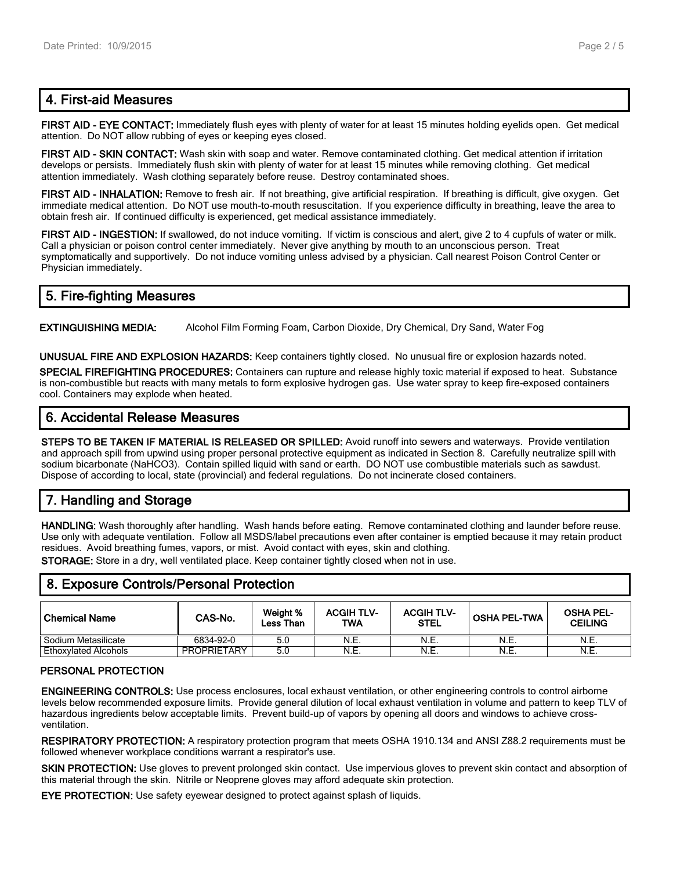#### **4. First-aid Measures**

**FIRST AID - EYE CONTACT:** Immediately flush eyes with plenty of water for at least 15 minutes holding eyelids open. Get medical attention. Do NOT allow rubbing of eyes or keeping eyes closed.

**FIRST AID - SKIN CONTACT:** Wash skin with soap and water. Remove contaminated clothing. Get medical attention if irritation develops or persists. Immediately flush skin with plenty of water for at least 15 minutes while removing clothing. Get medical attention immediately. Wash clothing separately before reuse. Destroy contaminated shoes.

**FIRST AID - INHALATION:** Remove to fresh air. If not breathing, give artificial respiration. If breathing is difficult, give oxygen. Get immediate medical attention. Do NOT use mouth-to-mouth resuscitation. If you experience difficulty in breathing, leave the area to obtain fresh air. If continued difficulty is experienced, get medical assistance immediately.

**FIRST AID - INGESTION:** If swallowed, do not induce vomiting. If victim is conscious and alert, give 2 to 4 cupfuls of water or milk. Call a physician or poison control center immediately. Never give anything by mouth to an unconscious person. Treat symptomatically and supportively. Do not induce vomiting unless advised by a physician. Call nearest Poison Control Center or Physician immediately.

#### **5. Fire-fighting Measures**

**EXTINGUISHING MEDIA:** Alcohol Film Forming Foam, Carbon Dioxide, Dry Chemical, Dry Sand, Water Fog

**UNUSUAL FIRE AND EXPLOSION HAZARDS:** Keep containers tightly closed. No unusual fire or explosion hazards noted.

**SPECIAL FIREFIGHTING PROCEDURES:** Containers can rupture and release highly toxic material if exposed to heat. Substance is non-combustible but reacts with many metals to form explosive hydrogen gas. Use water spray to keep fire-exposed containers cool. Containers may explode when heated.

## **6. Accidental Release Measures**

**STEPS TO BE TAKEN IF MATERIAL IS RELEASED OR SPILLED:** Avoid runoff into sewers and waterways. Provide ventilation and approach spill from upwind using proper personal protective equipment as indicated in Section 8. Carefully neutralize spill with sodium bicarbonate (NaHCO3). Contain spilled liquid with sand or earth. DO NOT use combustible materials such as sawdust. Dispose of according to local, state (provincial) and federal regulations. Do not incinerate closed containers.

# **7. Handling and Storage**

**HANDLING:** Wash thoroughly after handling. Wash hands before eating. Remove contaminated clothing and launder before reuse. Use only with adequate ventilation. Follow all MSDS/label precautions even after container is emptied because it may retain product residues. Avoid breathing fumes, vapors, or mist. Avoid contact with eyes, skin and clothing.

**STORAGE:** Store in a dry, well ventilated place. Keep container tightly closed when not in use.

#### **8. Exposure Controls/Personal Protection**

| ' Chemical Name             | CAS-No.     | Weight %<br>Less Than | <b>ACGIH TLV-</b><br>TWA | <b>ACGIH TLV-</b><br><b>STEL</b> | <b>OSHA PEL-TWA</b> | <b>OSHA PEL-</b><br><b>CEILING</b> |
|-----------------------------|-------------|-----------------------|--------------------------|----------------------------------|---------------------|------------------------------------|
| Sodium Metasilicate         | 6834-92-0   | 5.0                   | N.E.                     | N.E.                             | N.E.                | N.E.                               |
| <b>Ethoxylated Alcohols</b> | PROPRIETARY | 5.0                   | N.E.                     | N.E.                             | N.E.                | N.E.                               |

#### **PERSONAL PROTECTION**

**ENGINEERING CONTROLS:** Use process enclosures, local exhaust ventilation, or other engineering controls to control airborne levels below recommended exposure limits. Provide general dilution of local exhaust ventilation in volume and pattern to keep TLV of hazardous ingredients below acceptable limits. Prevent build-up of vapors by opening all doors and windows to achieve crossventilation.

**RESPIRATORY PROTECTION:** A respiratory protection program that meets OSHA 1910.134 and ANSI Z88.2 requirements must be followed whenever workplace conditions warrant a respirator's use.

**SKIN PROTECTION:** Use gloves to prevent prolonged skin contact. Use impervious gloves to prevent skin contact and absorption of this material through the skin. Nitrile or Neoprene gloves may afford adequate skin protection.

**EYE PROTECTION:** Use safety eyewear designed to protect against splash of liquids.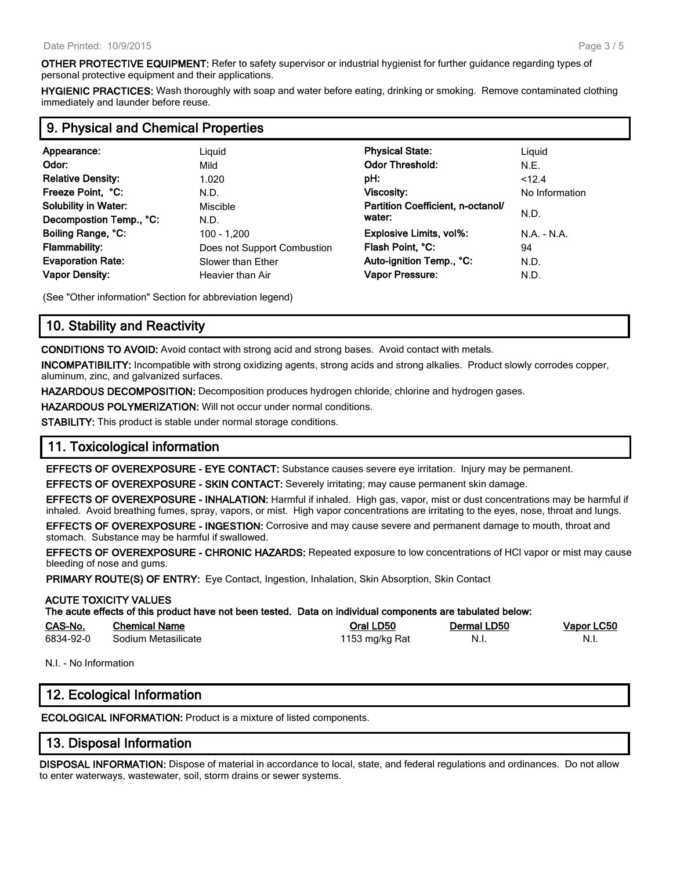**OTHER PROTECTIVE EQUIPMENT:** Refer to safety supervisor or industrial hygienist for further guidance regarding types of personal protective equipment and their applications.

**HYGIENIC PRACTICES:** Wash thoroughly with soap and water before eating, drinking or smoking. Remove contaminated clothing immediately and launder before reuse.

# **9. Physical and Chemical Properties**

| Appearance:<br>Odor:<br><b>Relative Density:</b><br>Freeze Point, °C:<br><b>Solubility in Water:</b>                       | Liguid<br>Mild<br>1.020<br>N.D.<br>Miscible                                                 | <b>Physical State:</b><br><b>Odor Threshold:</b><br>pH:<br>Viscosity:<br>Partition Coefficient, n-octanol/<br>water: | Liguid<br>N.E.<br>< 12.4<br>No Information<br>N.D. |
|----------------------------------------------------------------------------------------------------------------------------|---------------------------------------------------------------------------------------------|----------------------------------------------------------------------------------------------------------------------|----------------------------------------------------|
| Decompostion Temp., °C:<br>Boiling Range, °C:<br><b>Flammability:</b><br><b>Evaporation Rate:</b><br><b>Vapor Density:</b> | N.D.<br>100 - 1.200<br>Does not Support Combustion<br>Slower than Ether<br>Heavier than Air | Explosive Limits, vol%:<br>Flash Point, °C:<br>Auto-ignition Temp., °C:<br>Vapor Pressure:                           | N.A. - N.A.<br>94<br>N.D.<br>N.D.                  |

(See "Other information" Section for abbreviation legend)

# **10. Stability and Reactivity**

**CONDITIONS TO AVOID:** Avoid contact with strong acid and strong bases. Avoid contact with metals.

**INCOMPATIBILITY:** Incompatible with strong oxidizing agents, strong acids and strong alkalies. Product slowly corrodes copper, aluminum, zinc, and galvanized surfaces.

**HAZARDOUS DECOMPOSITION:** Decomposition produces hydrogen chloride, chlorine and hydrogen gases.

**HAZARDOUS POLYMERIZATION:** Will not occur under normal conditions.

**STABILITY:** This product is stable under normal storage conditions.

## **11. Toxicological information**

**EFFECTS OF OVEREXPOSURE - EYE CONTACT:** Substance causes severe eye irritation. Injury may be permanent.

**EFFECTS OF OVEREXPOSURE - SKIN CONTACT:** Severely irritating; may cause permanent skin damage.

**EFFECTS OF OVEREXPOSURE - INHALATION:** Harmful if inhaled. High gas, vapor, mist or dust concentrations may be harmful if inhaled. Avoid breathing fumes, spray, vapors, or mist. High vapor concentrations are irritating to the eyes, nose, throat and lungs.

**EFFECTS OF OVEREXPOSURE - INGESTION:** Corrosive and may cause severe and permanent damage to mouth, throat and stomach. Substance may be harmful if swallowed.

**EFFECTS OF OVEREXPOSURE - CHRONIC HAZARDS:** Repeated exposure to low concentrations of HCl vapor or mist may cause bleeding of nose and gums.

**PRIMARY ROUTE(S) OF ENTRY:** Eye Contact, Ingestion, Inhalation, Skin Absorption, Skin Contact

#### **ACUTE TOXICITY VALUES The acute effects of this product have not been tested. Data on individual components are tabulated below: CAS-No. Chemical Name Oral LD50 Dermal LD50 Vapor LC50** 6834-92-0 Sodium Metasilicate 1153 mg/kg Rat N.I. N.I. N.I. N.I.

N.I. - No Information

## **12. Ecological Information**

**ECOLOGICAL INFORMATION:** Product is a mixture of listed components.

## **13. Disposal Information**

**DISPOSAL INFORMATION:** Dispose of material in accordance to local, state, and federal regulations and ordinances. Do not allow to enter waterways, wastewater, soil, storm drains or sewer systems.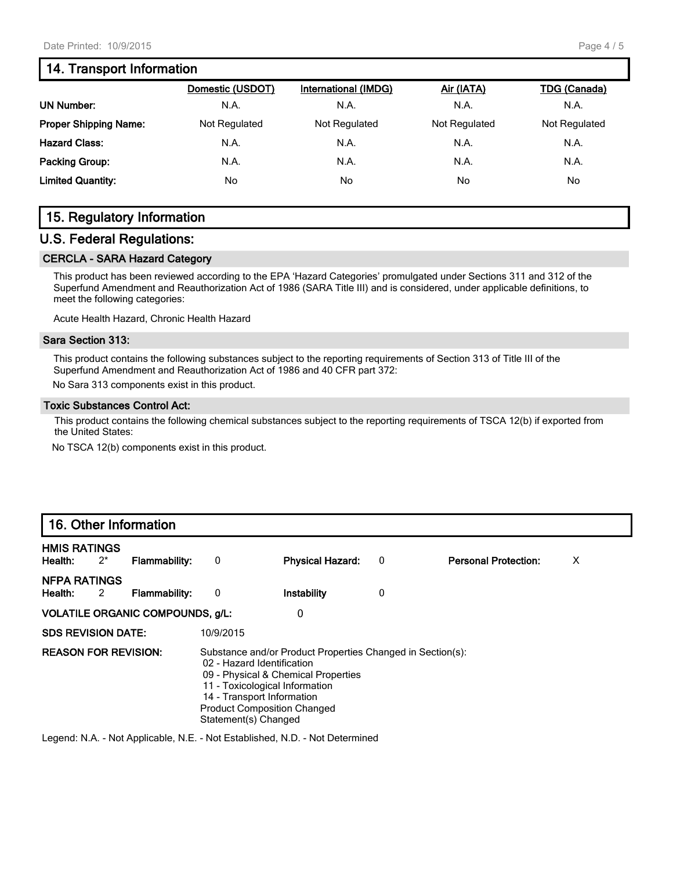#### **14. Transport Information**

| <b>TDG (Canada)</b> | Air (IATA)    | <b>International (IMDG)</b> | Domestic (USDOT) |                                                                    |
|---------------------|---------------|-----------------------------|------------------|--------------------------------------------------------------------|
| N.A.                | N.A.          | N.A.                        | N.A.             | <b>UN Number:</b>                                                  |
| Not Regulated       | Not Regulated | Not Regulated               | Not Regulated    | <b>Proper Shipping Name:</b>                                       |
| N.A.                | N.A.          | N.A.                        | N.A.             |                                                                    |
| N.A.                | N.A.          | N.A.                        | N.A.             |                                                                    |
| No                  | No            | No                          | No               |                                                                    |
|                     |               |                             |                  | <b>Hazard Class:</b><br>Packing Group:<br><b>Limited Quantity:</b> |

# **15. Regulatory Information**

#### **U.S. Federal Regulations:**

#### **CERCLA - SARA Hazard Category**

This product has been reviewed according to the EPA 'Hazard Categories' promulgated under Sections 311 and 312 of the Superfund Amendment and Reauthorization Act of 1986 (SARA Title III) and is considered, under applicable definitions, to meet the following categories:

Acute Health Hazard, Chronic Health Hazard

#### **Sara Section 313:**

This product contains the following substances subject to the reporting requirements of Section 313 of Title III of the Superfund Amendment and Reauthorization Act of 1986 and 40 CFR part 372:

No Sara 313 components exist in this product.

#### **Toxic Substances Control Act:**

This product contains the following chemical substances subject to the reporting requirements of TSCA 12(b) if exported from the United States:

No TSCA 12(b) components exist in this product.

# **16. Other Information**

| <b>HMIS RATINGS</b><br>$2^*$<br>Health:                                                                                                                                                                                                                                                      | <b>Flammability:</b> | 0         | <b>Physical Hazard:</b> | 0 | <b>Personal Protection:</b> | Х |
|----------------------------------------------------------------------------------------------------------------------------------------------------------------------------------------------------------------------------------------------------------------------------------------------|----------------------|-----------|-------------------------|---|-----------------------------|---|
| <b>NFPA RATINGS</b><br>Health:<br>2                                                                                                                                                                                                                                                          | Flammability:        | 0         | Instability             | 0 |                             |   |
| <b>VOLATILE ORGANIC COMPOUNDS, g/L:</b>                                                                                                                                                                                                                                                      |                      |           | 0                       |   |                             |   |
| <b>SDS REVISION DATE:</b>                                                                                                                                                                                                                                                                    |                      | 10/9/2015 |                         |   |                             |   |
| <b>REASON FOR REVISION:</b><br>Substance and/or Product Properties Changed in Section(s):<br>02 - Hazard Identification<br>09 - Physical & Chemical Properties<br>11 - Toxicological Information<br>14 - Transport Information<br><b>Product Composition Changed</b><br>Statement(s) Changed |                      |           |                         |   |                             |   |

Legend: N.A. - Not Applicable, N.E. - Not Established, N.D. - Not Determined